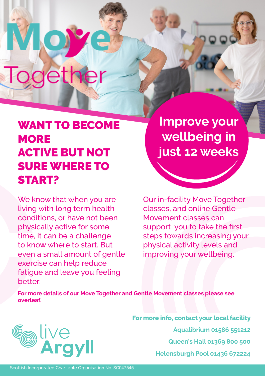# **Together**

 $\bigcirc$ 

## WANT TO BECOME **MORE** ACTIVE BUT NOT SURE WHERE TO START?

We know that when you are living with long term health conditions, or have not been physically active for some time, it can be a challenge to know where to start. But even a small amount of gentle exercise can help reduce fatigue and leave you feeling better.

**Improve your wellbeing in just 12 weeks**

Our in-facility Move Together classes, and online Gentle Movement classes can support you to take the first steps towards increasing your physical activity levels and improving your wellbeing.

**For more details of our Move Together and Gentle Movement classes please see overleaf.**



**For more info, contact your local facility Aqualibrium 01586 551212 Queen's Hall 01369 800 500 Helensburgh Pool 01436 672224**